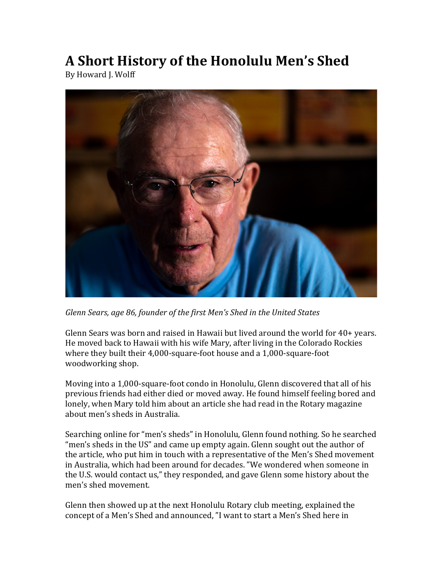# **A Short History of the Honolulu Men's Shed**

By Howard J. Wolff



Glenn Sears, age 86, founder of the first Men's Shed in the United States

Glenn Sears was born and raised in Hawaii but lived around the world for  $40+$  years. He moved back to Hawaii with his wife Mary, after living in the Colorado Rockies where they built their 4,000-square-foot house and a 1,000-square-foot woodworking shop.

Moving into a 1,000-square-foot condo in Honolulu, Glenn discovered that all of his previous friends had either died or moved away. He found himself feeling bored and lonely, when Mary told him about an article she had read in the Rotary magazine about men's sheds in Australia.

Searching online for "men's sheds" in Honolulu, Glenn found nothing. So he searched "men's sheds in the US" and came up empty again. Glenn sought out the author of the article, who put him in touch with a representative of the Men's Shed movement in Australia, which had been around for decades. "We wondered when someone in the U.S. would contact us," they responded, and gave Glenn some history about the men's shed movement.

Glenn then showed up at the next Honolulu Rotary club meeting, explained the concept of a Men's Shed and announced, "I want to start a Men's Shed here in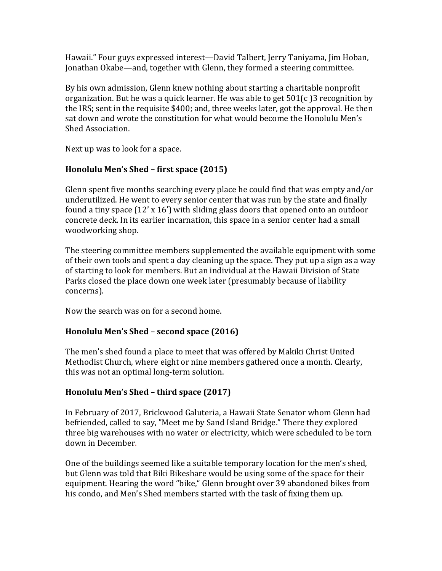Hawaii." Four guys expressed interest—David Talbert, Jerry Taniyama, Jim Hoban, Jonathan Okabe—and, together with Glenn, they formed a steering committee.

By his own admission, Glenn knew nothing about starting a charitable nonprofit organization. But he was a quick learner. He was able to get  $501(c)$  3 recognition by the IRS; sent in the requisite \$400; and, three weeks later, got the approval. He then sat down and wrote the constitution for what would become the Honolulu Men's Shed Association.

Next up was to look for a space.

## **Honolulu Men's Shed – first space (2015)**

Glenn spent five months searching every place he could find that was empty and/or underutilized. He went to every senior center that was run by the state and finally found a tiny space  $(12' \times 16')$  with sliding glass doors that opened onto an outdoor concrete deck. In its earlier incarnation, this space in a senior center had a small woodworking shop.

The steering committee members supplemented the available equipment with some of their own tools and spent a day cleaning up the space. They put up a sign as a way of starting to look for members. But an individual at the Hawaii Division of State Parks closed the place down one week later (presumably because of liability concerns).

Now the search was on for a second home.

### **Honolulu Men's Shed - second space (2016)**

The men's shed found a place to meet that was offered by Makiki Christ United Methodist Church, where eight or nine members gathered once a month. Clearly, this was not an optimal long-term solution.

## **Honolulu Men's Shed – third space (2017)**

In February of 2017, Brickwood Galuteria, a Hawaii State Senator whom Glenn had befriended, called to say, "Meet me by Sand Island Bridge." There they explored three big warehouses with no water or electricity, which were scheduled to be torn down in December.

One of the buildings seemed like a suitable temporary location for the men's shed, but Glenn was told that Biki Bikeshare would be using some of the space for their equipment. Hearing the word "bike," Glenn brought over 39 abandoned bikes from his condo, and Men's Shed members started with the task of fixing them up.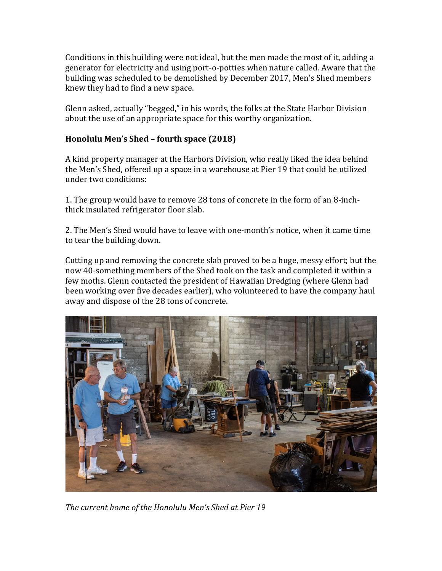Conditions in this building were not ideal, but the men made the most of it, adding a generator for electricity and using port-o-potties when nature called. Aware that the building was scheduled to be demolished by December 2017, Men's Shed members knew they had to find a new space.

Glenn asked, actually "begged," in his words, the folks at the State Harbor Division about the use of an appropriate space for this worthy organization.

#### **Honolulu Men's Shed – fourth space (2018)**

A kind property manager at the Harbors Division, who really liked the idea behind the Men's Shed, offered up a space in a warehouse at Pier 19 that could be utilized under two conditions:

1. The group would have to remove 28 tons of concrete in the form of an 8-inchthick insulated refrigerator floor slab.

2. The Men's Shed would have to leave with one-month's notice, when it came time to tear the building down.

Cutting up and removing the concrete slab proved to be a huge, messy effort; but the now 40-something members of the Shed took on the task and completed it within a few moths. Glenn contacted the president of Hawaiian Dredging (where Glenn had been working over five decades earlier), who volunteered to have the company haul away and dispose of the 28 tons of concrete.



The current home of the Honolulu Men's Shed at Pier 19